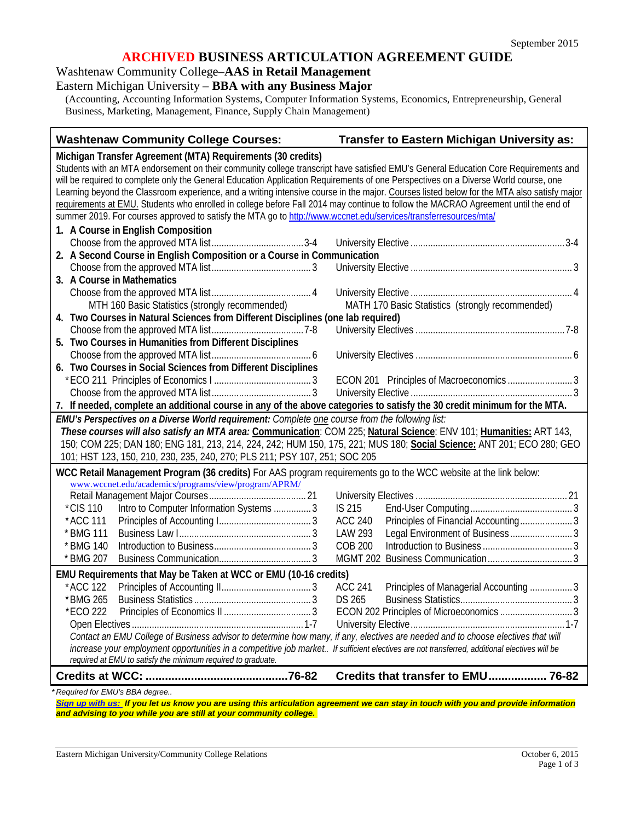### **ARCHIVED BUSINESS ARTICULATION AGREEMENT GUIDE**

Washtenaw Community College–**AAS in Retail Management**

Eastern Michigan University – **BBA with any Business Major**

(Accounting, Accounting Information Systems, Computer Information Systems, Economics, Entrepreneurship, General Business, Marketing, Management, Finance, Supply Chain Management)

| <b>Washtenaw Community College Courses:</b>                                                                                                                                                                                                                                                                                                                                                                                                                                                                                                                                                                                    | <b>Transfer to Eastern Michigan University as:</b>       |  |
|--------------------------------------------------------------------------------------------------------------------------------------------------------------------------------------------------------------------------------------------------------------------------------------------------------------------------------------------------------------------------------------------------------------------------------------------------------------------------------------------------------------------------------------------------------------------------------------------------------------------------------|----------------------------------------------------------|--|
| Michigan Transfer Agreement (MTA) Requirements (30 credits)<br>Students with an MTA endorsement on their community college transcript have satisfied EMU's General Education Core Requirements and<br>will be required to complete only the General Education Application Requirements of one Perspectives on a Diverse World course, one<br>Learning beyond the Classroom experience, and a writing intensive course in the major. Courses listed below for the MTA also satisfy major<br>requirements at EMU. Students who enrolled in college before Fall 2014 may continue to follow the MACRAO Agreement until the end of |                                                          |  |
| summer 2019. For courses approved to satisfy the MTA go to http://www.wccnet.edu/services/transferresources/mtal                                                                                                                                                                                                                                                                                                                                                                                                                                                                                                               |                                                          |  |
| 1. A Course in English Composition                                                                                                                                                                                                                                                                                                                                                                                                                                                                                                                                                                                             |                                                          |  |
|                                                                                                                                                                                                                                                                                                                                                                                                                                                                                                                                                                                                                                |                                                          |  |
| 2. A Second Course in English Composition or a Course in Communication                                                                                                                                                                                                                                                                                                                                                                                                                                                                                                                                                         |                                                          |  |
|                                                                                                                                                                                                                                                                                                                                                                                                                                                                                                                                                                                                                                |                                                          |  |
| 3. A Course in Mathematics                                                                                                                                                                                                                                                                                                                                                                                                                                                                                                                                                                                                     |                                                          |  |
|                                                                                                                                                                                                                                                                                                                                                                                                                                                                                                                                                                                                                                |                                                          |  |
| MTH 160 Basic Statistics (strongly recommended)                                                                                                                                                                                                                                                                                                                                                                                                                                                                                                                                                                                | MATH 170 Basic Statistics (strongly recommended)         |  |
| 4. Two Courses in Natural Sciences from Different Disciplines (one lab required)                                                                                                                                                                                                                                                                                                                                                                                                                                                                                                                                               |                                                          |  |
|                                                                                                                                                                                                                                                                                                                                                                                                                                                                                                                                                                                                                                |                                                          |  |
| 5. Two Courses in Humanities from Different Disciplines                                                                                                                                                                                                                                                                                                                                                                                                                                                                                                                                                                        |                                                          |  |
|                                                                                                                                                                                                                                                                                                                                                                                                                                                                                                                                                                                                                                |                                                          |  |
| 6. Two Courses in Social Sciences from Different Disciplines                                                                                                                                                                                                                                                                                                                                                                                                                                                                                                                                                                   |                                                          |  |
|                                                                                                                                                                                                                                                                                                                                                                                                                                                                                                                                                                                                                                |                                                          |  |
|                                                                                                                                                                                                                                                                                                                                                                                                                                                                                                                                                                                                                                |                                                          |  |
| 7. If needed, complete an additional course in any of the above categories to satisfy the 30 credit minimum for the MTA.                                                                                                                                                                                                                                                                                                                                                                                                                                                                                                       |                                                          |  |
| EMU's Perspectives on a Diverse World requirement: Complete one course from the following list:<br>These courses will also satisfy an MTA area: Communication: COM 225; Natural Science: ENV 101; Humanities: ART 143,<br>150; COM 225; DAN 180; ENG 181, 213, 214, 224, 242; HUM 150, 175, 221; MUS 180; Social Science: ANT 201; ECO 280; GEO<br>101; HST 123, 150, 210, 230, 235, 240, 270; PLS 211; PSY 107, 251; SOC 205                                                                                                                                                                                                  |                                                          |  |
| WCC Retail Management Program (36 credits) For AAS program requirements go to the WCC website at the link below:                                                                                                                                                                                                                                                                                                                                                                                                                                                                                                               |                                                          |  |
| www.wccnet.edu/academics/programs/view/program/APRM/                                                                                                                                                                                                                                                                                                                                                                                                                                                                                                                                                                           |                                                          |  |
|                                                                                                                                                                                                                                                                                                                                                                                                                                                                                                                                                                                                                                |                                                          |  |
| *CIS 110<br>Intro to Computer Information Systems  3                                                                                                                                                                                                                                                                                                                                                                                                                                                                                                                                                                           | IS 215                                                   |  |
| *ACC 111                                                                                                                                                                                                                                                                                                                                                                                                                                                                                                                                                                                                                       | Principles of Financial Accounting 3<br><b>ACC 240</b>   |  |
| * BMG 111                                                                                                                                                                                                                                                                                                                                                                                                                                                                                                                                                                                                                      | Legal Environment of Business 3<br><b>LAW 293</b>        |  |
| * BMG 140                                                                                                                                                                                                                                                                                                                                                                                                                                                                                                                                                                                                                      | <b>COB 200</b>                                           |  |
| * BMG 207                                                                                                                                                                                                                                                                                                                                                                                                                                                                                                                                                                                                                      | <b>MGMT 202</b>                                          |  |
| EMU Requirements that May be Taken at WCC or EMU (10-16 credits)                                                                                                                                                                                                                                                                                                                                                                                                                                                                                                                                                               |                                                          |  |
| * ACC 122                                                                                                                                                                                                                                                                                                                                                                                                                                                                                                                                                                                                                      | <b>ACC 241</b><br>Principles of Managerial Accounting  3 |  |
| * BMG 265                                                                                                                                                                                                                                                                                                                                                                                                                                                                                                                                                                                                                      | DS 265                                                   |  |
| *ECO 222                                                                                                                                                                                                                                                                                                                                                                                                                                                                                                                                                                                                                       |                                                          |  |
|                                                                                                                                                                                                                                                                                                                                                                                                                                                                                                                                                                                                                                |                                                          |  |
| Contact an EMU College of Business advisor to determine how many, if any, electives are needed and to choose electives that will                                                                                                                                                                                                                                                                                                                                                                                                                                                                                               |                                                          |  |
| increase your employment opportunities in a competitive job market If sufficient electives are not transferred, additional electives will be                                                                                                                                                                                                                                                                                                                                                                                                                                                                                   |                                                          |  |
| required at EMU to satisfy the minimum required to graduate.                                                                                                                                                                                                                                                                                                                                                                                                                                                                                                                                                                   |                                                          |  |
|                                                                                                                                                                                                                                                                                                                                                                                                                                                                                                                                                                                                                                | Credits that transfer to EMU 76-82                       |  |
|                                                                                                                                                                                                                                                                                                                                                                                                                                                                                                                                                                                                                                |                                                          |  |

*[Sign up with us:](https://www.emich.edu/ccr/articulation-agreements/signup.php) If you let us know you are using this articulation agreement we can stay in touch with you and provide information and advising to you while you are still at your community college.*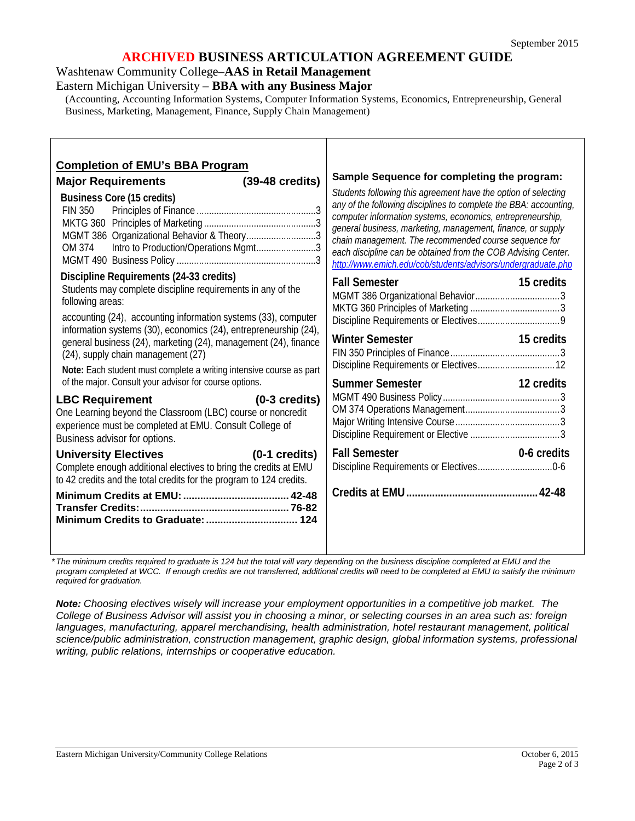### **ARCHIVED BUSINESS ARTICULATION AGREEMENT GUIDE**

Washtenaw Community College–**AAS in Retail Management**

Eastern Michigan University – **BBA with any Business Major**

(Accounting, Accounting Information Systems, Computer Information Systems, Economics, Entrepreneurship, General Business, Marketing, Management, Finance, Supply Chain Management)

| <b>Completion of EMU's BBA Program</b><br>$(39-48 \text{ credits})$<br><b>Major Requirements</b><br><b>Business Core (15 credits)</b><br><b>FIN 350</b><br>MGMT 386 Organizational Behavior & Theory3<br>Intro to Production/Operations Mgmt3<br>OM 374                                                                                                                                                                                                                                                    | Sample Sequence for completing the program:<br>Students following this agreement have the option of selecting<br>any of the following disciplines to complete the BBA: accounting,<br>computer information systems, economics, entrepreneurship,<br>general business, marketing, management, finance, or supply<br>chain management. The recommended course sequence for<br>each discipline can be obtained from the COB Advising Center.<br>http://www.emich.edu/cob/students/advisors/undergraduate.php |
|------------------------------------------------------------------------------------------------------------------------------------------------------------------------------------------------------------------------------------------------------------------------------------------------------------------------------------------------------------------------------------------------------------------------------------------------------------------------------------------------------------|-----------------------------------------------------------------------------------------------------------------------------------------------------------------------------------------------------------------------------------------------------------------------------------------------------------------------------------------------------------------------------------------------------------------------------------------------------------------------------------------------------------|
| Discipline Requirements (24-33 credits)<br>Students may complete discipline requirements in any of the<br>following areas:<br>accounting (24), accounting information systems (33), computer<br>information systems (30), economics (24), entrepreneurship (24),<br>general business (24), marketing (24), management (24), finance<br>(24), supply chain management (27)<br>Note: Each student must complete a writing intensive course as part<br>of the major. Consult your advisor for course options. | <b>Fall Semester</b><br>15 credits<br><b>Winter Semester</b><br>15 credits<br><b>Summer Semester</b><br>12 credits                                                                                                                                                                                                                                                                                                                                                                                        |
| <b>LBC Requirement</b><br>$(0-3 \text{ credits})$<br>One Learning beyond the Classroom (LBC) course or noncredit<br>experience must be completed at EMU. Consult College of<br>Business advisor for options.                                                                                                                                                                                                                                                                                               |                                                                                                                                                                                                                                                                                                                                                                                                                                                                                                           |
| $(0-1 \text{ credits})$<br><b>University Electives</b><br>Complete enough additional electives to bring the credits at EMU<br>to 42 credits and the total credits for the program to 124 credits.                                                                                                                                                                                                                                                                                                          | <b>Fall Semester</b><br>0-6 credits                                                                                                                                                                                                                                                                                                                                                                                                                                                                       |

*\*The minimum credits required to graduate is 124 but the total will vary depending on the business discipline completed at EMU and the*  program completed at WCC. If enough credits are not transferred, additional credits will need to be completed at EMU to satisfy the minimum *required for graduation.*

*Note: Choosing electives wisely will increase your employment opportunities in a competitive job market. The College of Business Advisor will assist you in choosing a minor, or selecting courses in an area such as: foreign languages, manufacturing, apparel merchandising, health administration, hotel restaurant management, political science/public administration, construction management, graphic design, global information systems, professional writing, public relations, internships or cooperative education.*